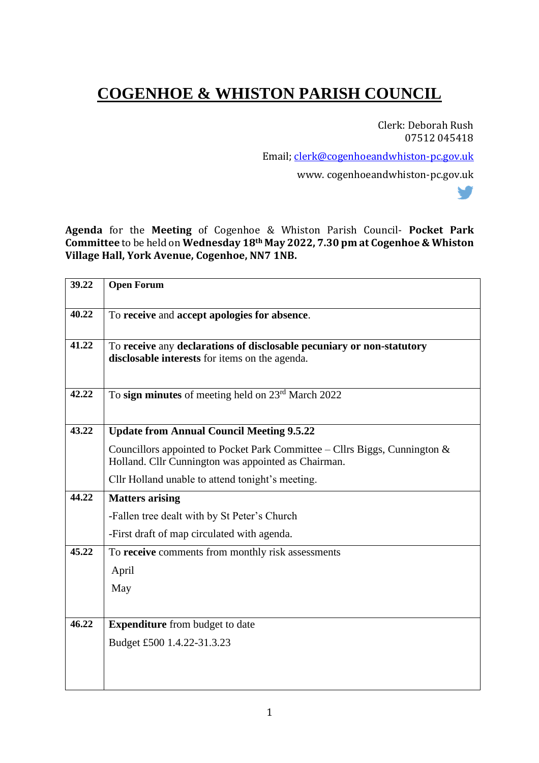## **COGENHOE & WHISTON PARISH COUNCIL**

Clerk: Deborah Rush 07512 045418

V

Email; clerk@cogenhoeandwhiston-pc.gov.uk

www. cogenhoeandwhiston-pc.gov.uk

**Agenda** for the **Meeting** of Cogenhoe & Whiston Parish Council- **Pocket Park Committee** to be held on **Wednesday 18th May 2022, 7.30 pm at Cogenhoe & Whiston Village Hall, York Avenue, Cogenhoe, NN7 1NB.**

| 39.22 | <b>Open Forum</b>                                                                                                                    |
|-------|--------------------------------------------------------------------------------------------------------------------------------------|
| 40.22 | To receive and accept apologies for absence.                                                                                         |
| 41.22 | To receive any declarations of disclosable pecuniary or non-statutory<br>disclosable interests for items on the agenda.              |
| 42.22 | To sign minutes of meeting held on 23 <sup>rd</sup> March 2022                                                                       |
| 43.22 | <b>Update from Annual Council Meeting 9.5.22</b>                                                                                     |
|       | Councillors appointed to Pocket Park Committee – Cllrs Biggs, Cunnington $\&$<br>Holland. Cllr Cunnington was appointed as Chairman. |
|       | Cllr Holland unable to attend tonight's meeting.                                                                                     |
| 44.22 | <b>Matters arising</b>                                                                                                               |
|       | -Fallen tree dealt with by St Peter's Church                                                                                         |
|       | -First draft of map circulated with agenda.                                                                                          |
| 45.22 | To receive comments from monthly risk assessments                                                                                    |
|       | April                                                                                                                                |
|       | May                                                                                                                                  |
|       |                                                                                                                                      |
| 46.22 | <b>Expenditure</b> from budget to date                                                                                               |
|       | Budget £500 1.4.22-31.3.23                                                                                                           |
|       |                                                                                                                                      |
|       |                                                                                                                                      |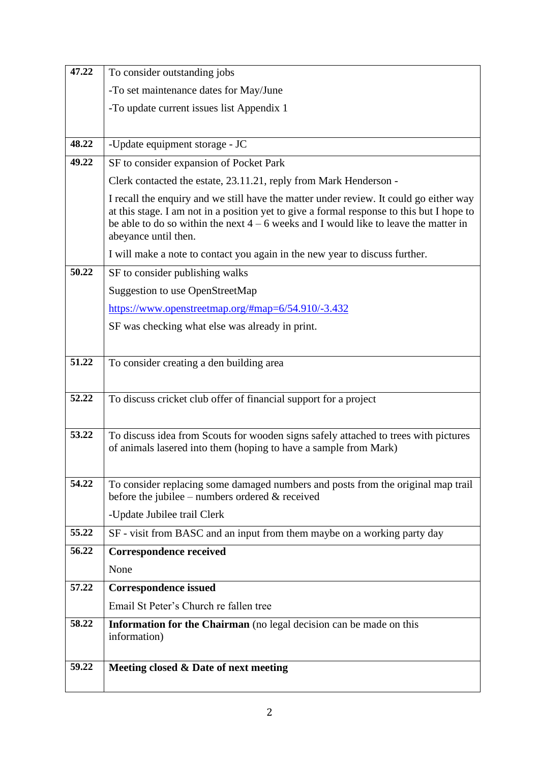| 47.22 | To consider outstanding jobs                                                                                                                                                                                                                                                                          |
|-------|-------------------------------------------------------------------------------------------------------------------------------------------------------------------------------------------------------------------------------------------------------------------------------------------------------|
|       | -To set maintenance dates for May/June                                                                                                                                                                                                                                                                |
|       | -To update current issues list Appendix 1                                                                                                                                                                                                                                                             |
|       |                                                                                                                                                                                                                                                                                                       |
| 48.22 | -Update equipment storage - JC                                                                                                                                                                                                                                                                        |
| 49.22 | SF to consider expansion of Pocket Park                                                                                                                                                                                                                                                               |
|       | Clerk contacted the estate, 23.11.21, reply from Mark Henderson -                                                                                                                                                                                                                                     |
|       | I recall the enquiry and we still have the matter under review. It could go either way<br>at this stage. I am not in a position yet to give a formal response to this but I hope to<br>be able to do so within the next $4 - 6$ weeks and I would like to leave the matter in<br>abeyance until then. |
|       | I will make a note to contact you again in the new year to discuss further.                                                                                                                                                                                                                           |
| 50.22 | SF to consider publishing walks                                                                                                                                                                                                                                                                       |
|       | <b>Suggestion to use OpenStreetMap</b>                                                                                                                                                                                                                                                                |
|       | https://www.openstreetmap.org/#map=6/54.910/-3.432                                                                                                                                                                                                                                                    |
|       | SF was checking what else was already in print.                                                                                                                                                                                                                                                       |
|       |                                                                                                                                                                                                                                                                                                       |
| 51.22 | To consider creating a den building area                                                                                                                                                                                                                                                              |
|       |                                                                                                                                                                                                                                                                                                       |
| 52.22 | To discuss cricket club offer of financial support for a project                                                                                                                                                                                                                                      |
|       |                                                                                                                                                                                                                                                                                                       |
| 53.22 | To discuss idea from Scouts for wooden signs safely attached to trees with pictures                                                                                                                                                                                                                   |
|       | of animals lasered into them (hoping to have a sample from Mark)                                                                                                                                                                                                                                      |
|       |                                                                                                                                                                                                                                                                                                       |
| 54.22 | To consider replacing some damaged numbers and posts from the original map trail<br>before the jubilee – numbers ordered $\&$ received                                                                                                                                                                |
|       | -Update Jubilee trail Clerk                                                                                                                                                                                                                                                                           |
| 55.22 | SF - visit from BASC and an input from them maybe on a working party day                                                                                                                                                                                                                              |
| 56.22 | <b>Correspondence received</b>                                                                                                                                                                                                                                                                        |
|       | None                                                                                                                                                                                                                                                                                                  |
| 57.22 | <b>Correspondence issued</b>                                                                                                                                                                                                                                                                          |
|       | Email St Peter's Church re fallen tree                                                                                                                                                                                                                                                                |
| 58.22 | Information for the Chairman (no legal decision can be made on this                                                                                                                                                                                                                                   |
|       | information)                                                                                                                                                                                                                                                                                          |
|       |                                                                                                                                                                                                                                                                                                       |
| 59.22 | Meeting closed & Date of next meeting                                                                                                                                                                                                                                                                 |
|       |                                                                                                                                                                                                                                                                                                       |